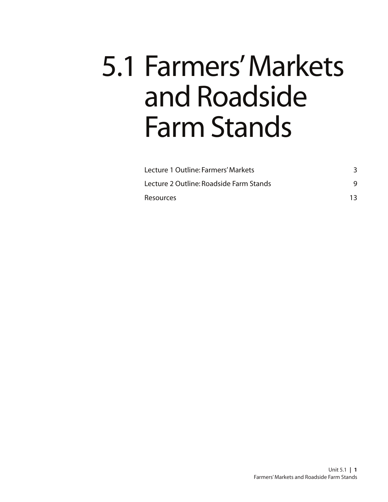# 5.1 Farmers' Markets and Roadside Farm Stands

| Lecture 1 Outline: Farmers' Markets<br>Lecture 2 Outline: Roadside Farm Stands<br><b>Resources</b> |  |
|----------------------------------------------------------------------------------------------------|--|
|                                                                                                    |  |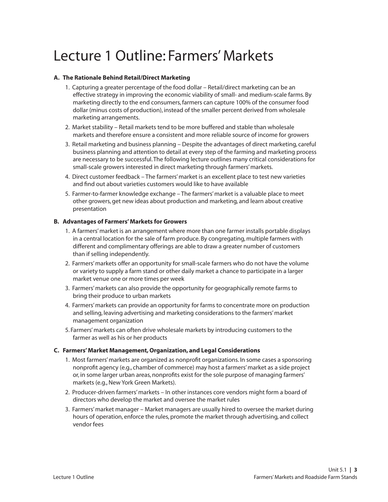# Lecture 1 Outline: Farmers' Markets

#### **A. The Rationale Behind Retail/Direct Marketing**

- 1. Capturing a greater percentage of the food dollar Retail/direct marketing can be an effective strategy in improving the economic viability of small- and medium-scale farms. By marketing directly to the end consumers, farmers can capture 100% of the consumer food dollar (minus costs of production), instead of the smaller percent derived from wholesale marketing arrangements.
- 2. Market stability Retail markets tend to be more buffered and stable than wholesale markets and therefore ensure a consistent and more reliable source of income for growers
- 3. Retail marketing and business planning Despite the advantages of direct marketing, careful business planning and attention to detail at every step of the farming and marketing process are necessary to be successful. The following lecture outlines many critical considerations for small-scale growers interested in direct marketing through farmers' markets.
- 4. Direct customer feedback The farmers' market is an excellent place to test new varieties and find out about varieties customers would like to have available
- 5. Farmer-to-farmer knowledge exchange The farmers' market is a valuable place to meet other growers, get new ideas about production and marketing, and learn about creative presentation

#### **B. Advantages of Farmers' Markets for Growers**

- 1. A farmers' market is an arrangement where more than one farmer installs portable displays in a central location for the sale of farm produce. By congregating, multiple farmers with different and complimentary offerings are able to draw a greater number of customers than if selling independently.
- 2. Farmers' markets offer an opportunity for small-scale farmers who do not have the volume or variety to supply a farm stand or other daily market a chance to participate in a larger market venue one or more times per week
- 3. Farmers' markets can also provide the opportunity for geographically remote farms to bring their produce to urban markets
- 4. Farmers' markets can provide an opportunity for farms to concentrate more on production and selling, leaving advertising and marketing considerations to the farmers' market management organization
- 5. Farmers' markets can often drive wholesale markets by introducing customers to the farmer as well as his or her products

#### **C. Farmers' Market Management, Organization, and Legal Considerations**

- 1. Most farmers' markets are organized as nonprofit organizations. In some cases a sponsoring nonprofit agency (e.g., chamber of commerce) may host a farmers' market as a side project or, in some larger urban areas, nonprofits exist for the sole purpose of managing farmers' markets (e.g., New York Green Markets).
- 2. Producer-driven farmers' markets In other instances core vendors might form a board of directors who develop the market and oversee the market rules
- 3. Farmers' market manager Market managers are usually hired to oversee the market during hours of operation, enforce the rules, promote the market through advertising, and collect vendor fees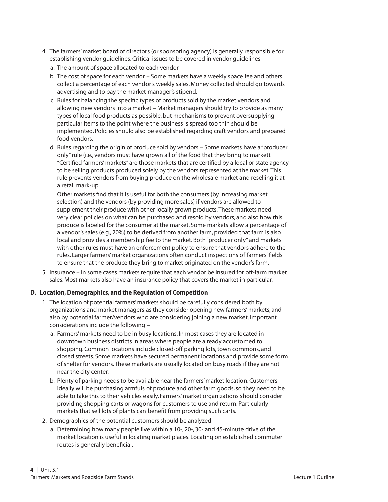- 4. The farmers' market board of directors (or sponsoring agency) is generally responsible for establishing vendor guidelines. Critical issues to be covered in vendor guidelines –
	- a. The amount of space allocated to each vendor
	- b. The cost of space for each vendor Some markets have a weekly space fee and others collect a percentage of each vendor's weekly sales. Money collected should go towards advertising and to pay the market manager's stipend.
	- c. Rules for balancing the specific types of products sold by the market vendors and allowing new vendors into a market – Market managers should try to provide as many types of local food products as possible, but mechanisms to prevent oversupplying particular items to the point where the business is spread too thin should be implemented. Policies should also be established regarding craft vendors and prepared food vendors.
	- d. Rules regarding the origin of produce sold by vendors Some markets have a "producer only" rule (i.e., vendors must have grown all of the food that they bring to market). "Certified farmers' markets" are those markets that are certified by a local or state agency to be selling products produced solely by the vendors represented at the market. This rule prevents vendors from buying produce on the wholesale market and reselling it at a retail mark-up.

 Other markets find that it is useful for both the consumers (by increasing market selection) and the vendors (by providing more sales) if vendors are allowed to supplement their produce with other locally grown products. These markets need very clear policies on what can be purchased and resold by vendors, and also how this produce is labeled for the consumer at the market. Some markets allow a percentage of a vendor's sales (e.g., 20%) to be derived from another farm, provided that farm is also local and provides a membership fee to the market. Both "producer only" and markets with other rules must have an enforcement policy to ensure that vendors adhere to the rules. Larger farmers' market organizations often conduct inspections of farmers' fields to ensure that the produce they bring to market originated on the vendor's farm.

5. Insurance – In some cases markets require that each vendor be insured for off-farm market sales. Most markets also have an insurance policy that covers the market in particular.

#### **D. Location, Demographics, and the Regulation of Competition**

- 1. The location of potential farmers' markets should be carefully considered both by organizations and market managers as they consider opening new farmers' markets, and also by potential farmer/vendors who are considering joining a new market. Important considerations include the following –
	- a. Farmers' markets need to be in busy locations. In most cases they are located in downtown business districts in areas where people are already accustomed to shopping. Common locations include closed-off parking lots, town commons, and closed streets. Some markets have secured permanent locations and provide some form of shelter for vendors. These markets are usually located on busy roads if they are not near the city center.
	- b. Plenty of parking needs to be available near the farmers' market location. Customers ideally will be purchasing armfuls of produce and other farm goods, so they need to be able to take this to their vehicles easily. Farmers' market organizations should consider providing shopping carts or wagons for customers to use and return. Particularly markets that sell lots of plants can benefit from providing such carts.
- 2. Demographics of the potential customers should be analyzed
	- a. Determining how many people live within a 10-, 20-, 30- and 45-minute drive of the market location is useful in locating market places. Locating on established commuter routes is generally beneficial.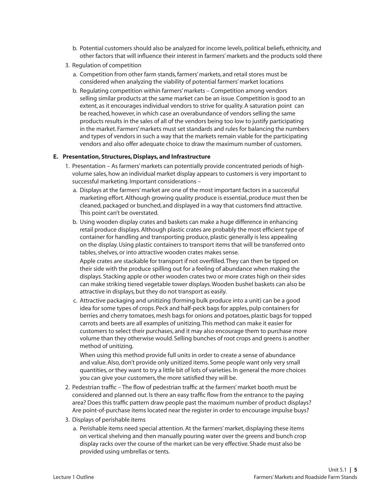- b. Potential customers should also be analyzed for income levels, political beliefs, ethnicity, and other factors that will influence their interest in farmers' markets and the products sold there
- 3. Regulation of competition
	- a. Competition from other farm stands, farmers' markets, and retail stores must be considered when analyzing the viability of potential farmers' market locations
	- b. Regulating competition within farmers' markets Competition among vendors selling similar products at the same market can be an issue. Competition is good to an extent, as it encourages individual vendors to strive for quality. A saturation point can be reached, however, in which case an overabundance of vendors selling the same products results in the sales of all of the vendors being too low to justify participating in the market. Farmers' markets must set standards and rules for balancing the numbers and types of vendors in such a way that the markets remain viable for the participating vendors and also offer adequate choice to draw the maximum number of customers.

#### **E. Presentation, Structures, Displays, and Infrastructure**

- 1. Presentation As farmers' markets can potentially provide concentrated periods of highvolume sales, how an individual market display appears to customers is very important to successful marketing. Important considerations –
	- a. Displays at the farmers' market are one of the most important factors in a successful marketing effort. Although growing quality produce is essential, produce must then be cleaned, packaged or bunched, and displayed in a way that customers find attractive. This point can't be overstated.
	- b. Using wooden display crates and baskets can make a huge difference in enhancing retail produce displays. Although plastic crates are probably the most efficient type of container for handling and transporting produce, plastic generally is less appealing on the display. Using plastic containers to transport items that will be transferred onto tables, shelves, or into attractive wooden crates makes sense.

 Apple crates are stackable for transport if not overfilled. They can then be tipped on their side with the produce spilling out for a feeling of abundance when making the displays. Stacking apple or other wooden crates two or more crates high on their sides can make striking tiered vegetable tower displays. Wooden bushel baskets can also be attractive in displays, but they do not transport as easily.

c. Attractive packaging and unitizing (forming bulk produce into a unit) can be a good idea for some types of crops. Peck and half-peck bags for apples, pulp containers for berries and cherry tomatoes, mesh bags for onions and potatoes, plastic bags for topped carrots and beets are all examples of unitizing. This method can make it easier for customers to select their purchases, and it may also encourage them to purchase more volume than they otherwise would. Selling bunches of root crops and greens is another method of unitizing.

 When using this method provide full units in order to create a sense of abundance and value. Also, don't provide only unitized items. Some people want only very small quantities, or they want to try a little bit of lots of varieties. In general the more choices you can give your customers, the more satisfied they will be.

- 2. Pedestrian traffic The flow of pedestrian traffic at the farmers' market booth must be considered and planned out. Is there an easy traffic flow from the entrance to the paying area? Does this traffic pattern draw people past the maximum number of product displays? Are point-of-purchase items located near the register in order to encourage impulse buys?
- 3. Displays of perishable items
	- a. Perishable items need special attention. At the farmers' market, displaying these items on vertical shelving and then manually pouring water over the greens and bunch crop display racks over the course of the market can be very effective. Shade must also be provided using umbrellas or tents.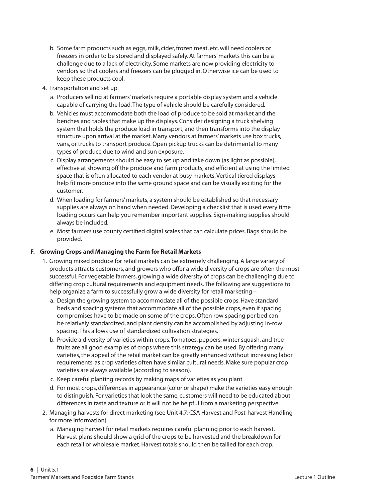- b. Some farm products such as eggs, milk, cider, frozen meat, etc. will need coolers or freezers in order to be stored and displayed safely. At farmers' markets this can be a challenge due to a lack of electricity. Some markets are now providing electricity to vendors so that coolers and freezers can be plugged in. Otherwise ice can be used to keep these products cool.
- 4. Transportation and set up
	- a. Producers selling at farmers' markets require a portable display system and a vehicle capable of carrying the load. The type of vehicle should be carefully considered.
	- b. Vehicles must accommodate both the load of produce to be sold at market and the benches and tables that make up the displays. Consider designing a truck shelving system that holds the produce load in transport, and then transforms into the display structure upon arrival at the market. Many vendors at farmers' markets use box trucks, vans, or trucks to transport produce. Open pickup trucks can be detrimental to many types of produce due to wind and sun exposure.
	- c. Display arrangements should be easy to set up and take down (as light as possible), effective at showing off the produce and farm products, and efficient at using the limited space that is often allocated to each vendor at busy markets. Vertical tiered displays help fit more produce into the same ground space and can be visually exciting for the customer.
	- d. When loading for farmers' markets, a system should be established so that necessary supplies are always on hand when needed. Developing a checklist that is used every time loading occurs can help you remember important supplies. Sign-making supplies should always be included.
	- e. Most farmers use county certified digital scales that can calculate prices. Bags should be provided.

#### **F. Growing Crops and Managing the Farm for Retail Markets**

- 1. Growing mixed produce for retail markets can be extremely challenging. A large variety of products attracts customers, and growers who offer a wide diversity of crops are often the most successful. For vegetable farmers, growing a wide diversity of crops can be challenging due to differing crop cultural requirements and equipment needs. The following are suggestions to help organize a farm to successfully grow a wide diversity for retail marketing –
	- a. Design the growing system to accommodate all of the possible crops. Have standard beds and spacing systems that accommodate all of the possible crops, even if spacing compromises have to be made on some of the crops. Often row spacing per bed can be relatively standardized, and plant density can be accomplished by adjusting in-row spacing. This allows use of standardized cultivation strategies.
	- b. Provide a diversity of varieties within crops. Tomatoes, peppers, winter squash, and tree fruits are all good examples of crops where this strategy can be used. By offering many varieties, the appeal of the retail market can be greatly enhanced without increasing labor requirements, as crop varieties often have similar cultural needs. Make sure popular crop varieties are always available (according to season).
	- c. Keep careful planting records by making maps of varieties as you plant
	- d. For most crops, differences in appearance (color or shape) make the varieties easy enough to distinguish. For varieties that look the same, customers will need to be educated about differences in taste and texture or it will not be helpful from a marketing perspective.
- 2. Managing harvests for direct marketing (see Unit 4.7: CSA Harvest and Post-harvest Handling for more information)
	- a. Managing harvest for retail markets requires careful planning prior to each harvest. Harvest plans should show a grid of the crops to be harvested and the breakdown for each retail or wholesale market. Harvest totals should then be tallied for each crop.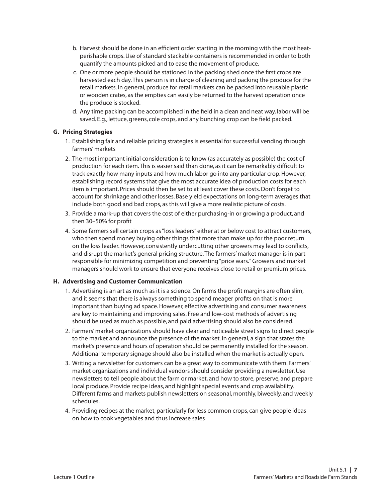- b. Harvest should be done in an efficient order starting in the morning with the most heatperishable crops. Use of standard stackable containers is recommended in order to both quantify the amounts picked and to ease the movement of produce.
- c. One or more people should be stationed in the packing shed once the first crops are harvested each day. This person is in charge of cleaning and packing the produce for the retail markets. In general, produce for retail markets can be packed into reusable plastic or wooden crates, as the empties can easily be returned to the harvest operation once the produce is stocked.
- d. Any time packing can be accomplished in the field in a clean and neat way, labor will be saved. E.g., lettuce, greens, cole crops, and any bunching crop can be field packed.

#### **G. Pricing Strategies**

- 1. Establishing fair and reliable pricing strategies is essential for successful vending through farmers' markets
- 2. The most important initial consideration is to know (as accurately as possible) the cost of production for each item. This is easier said than done, as it can be remarkably difficult to track exactly how many inputs and how much labor go into any particular crop. However, establishing record systems that give the most accurate idea of production costs for each item is important. Prices should then be set to at least cover these costs. Don't forget to account for shrinkage and other losses. Base yield expectations on long-term averages that include both good and bad crops, as this will give a more realistic picture of costs.
- 3. Provide a mark-up that covers the cost of either purchasing-in or growing a product, and then 30–50% for profit
- 4. Some farmers sell certain crops as "loss leaders" either at or below cost to attract customers, who then spend money buying other things that more than make up for the poor return on the loss leader. However, consistently undercutting other growers may lead to conflicts, and disrupt the market's general pricing structure. The farmers' market manager is in part responsible for minimizing competition and preventing "price wars." Growers and market managers should work to ensure that everyone receives close to retail or premium prices.

#### **H. Advertising and Customer Communication**

- 1. Advertising is an art as much as it is a science. On farms the profit margins are often slim, and it seems that there is always something to spend meager profits on that is more important than buying ad space. However, effective advertising and consumer awareness are key to maintaining and improving sales. Free and low-cost methods of advertising should be used as much as possible, and paid advertising should also be considered.
- 2. Farmers' market organizations should have clear and noticeable street signs to direct people to the market and announce the presence of the market. In general, a sign that states the market's presence and hours of operation should be permanently installed for the season. Additional temporary signage should also be installed when the market is actually open.
- 3. Writing a newsletter for customers can be a great way to communicate with them. Farmers' market organizations and individual vendors should consider providing a newsletter. Use newsletters to tell people about the farm or market, and how to store, preserve, and prepare local produce. Provide recipe ideas, and highlight special events and crop availability. Different farms and markets publish newsletters on seasonal, monthly, biweekly, and weekly schedules.
- 4. Providing recipes at the market, particularly for less common crops, can give people ideas on how to cook vegetables and thus increase sales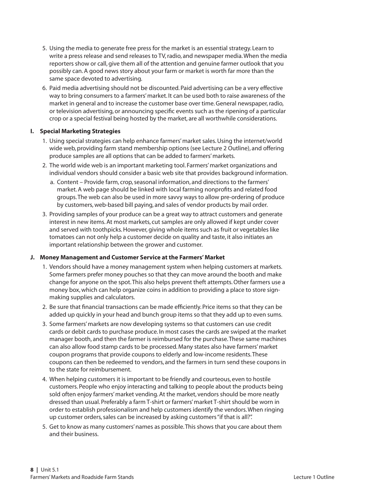- 5. Using the media to generate free press for the market is an essential strategy. Learn to write a press release and send releases to TV, radio, and newspaper media. When the media reporters show or call, give them all of the attention and genuine farmer outlook that you possibly can. A good news story about your farm or market is worth far more than the same space devoted to advertising.
- 6. Paid media advertising should not be discounted. Paid advertising can be a very effective way to bring consumers to a farmers' market. It can be used both to raise awareness of the market in general and to increase the customer base over time. General newspaper, radio, or television advertising, or announcing specific events such as the ripening of a particular crop or a special festival being hosted by the market, are all worthwhile considerations.

#### **I. Special Marketing Strategies**

- 1. Using special strategies can help enhance farmers' market sales. Using the internet/world wide web, providing farm stand membership options (see Lecture 2 Outline), and offering produce samples are all options that can be added to farmers' markets.
- 2. The world wide web is an important marketing tool. Farmers' market organizations and individual vendors should consider a basic web site that provides background information.
	- a. Content Provide farm, crop, seasonal information, and directions to the farmers' market. A web page should be linked with local farming nonprofits and related food groups. The web can also be used in more savvy ways to allow pre-ordering of produce by customers, web-based bill paying, and sales of vendor products by mail order.
- 3. Providing samples of your produce can be a great way to attract customers and generate interest in new items. At most markets, cut samples are only allowed if kept under cover and served with toothpicks. However, giving whole items such as fruit or vegetables like tomatoes can not only help a customer decide on quality and taste, it also initiates an important relationship between the grower and customer.

#### **J. Money Management and Customer Service at the Farmers' Market**

- 1. Vendors should have a money management system when helping customers at markets. Some farmers prefer money pouches so that they can move around the booth and make change for anyone on the spot. This also helps prevent theft attempts. Other farmers use a money box, which can help organize coins in addition to providing a place to store signmaking supplies and calculators.
- 2. Be sure that financial transactions can be made efficiently. Price items so that they can be added up quickly in your head and bunch group items so that they add up to even sums.
- 3. Some farmers' markets are now developing systems so that customers can use credit cards or debit cards to purchase produce. In most cases the cards are swiped at the market manager booth, and then the farmer is reimbursed for the purchase. These same machines can also allow food stamp cards to be processed. Many states also have farmers' market coupon programs that provide coupons to elderly and low-income residents. These coupons can then be redeemed to vendors, and the farmers in turn send these coupons in to the state for reimbursement.
- 4. When helping customers it is important to be friendly and courteous, even to hostile customers. People who enjoy interacting and talking to people about the products being sold often enjoy farmers' market vending. At the market, vendors should be more neatly dressed than usual. Preferably a farm T-shirt or farmers' market T-shirt should be worn in order to establish professionalism and help customers identify the vendors. When ringing up customer orders, sales can be increased by asking customers "if that is all?".
- 5. Get to know as many customers' names as possible. This shows that you care about them and their business.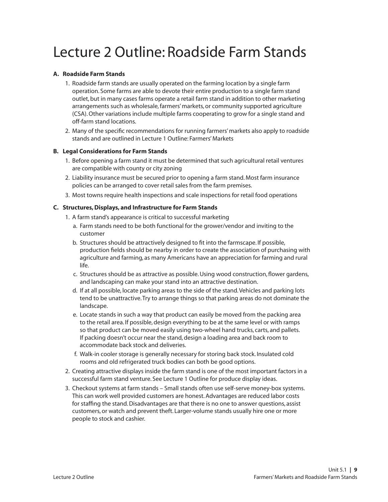# Lecture 2 Outline: Roadside Farm Stands

#### **A. Roadside Farm Stands**

- 1. Roadside farm stands are usually operated on the farming location by a single farm operation. Some farms are able to devote their entire production to a single farm stand outlet, but in many cases farms operate a retail farm stand in addition to other marketing arrangements such as wholesale, farmers' markets, or community supported agriculture (CSA). Other variations include multiple farms cooperating to grow for a single stand and off-farm stand locations.
- 2. Many of the specific recommendations for running farmers' markets also apply to roadside stands and are outlined in Lecture 1 Outline: Farmers' Markets

#### **B. Legal Considerations for Farm Stands**

- 1. Before opening a farm stand it must be determined that such agricultural retail ventures are compatible with county or city zoning
- 2. Liability insurance must be secured prior to opening a farm stand. Most farm insurance policies can be arranged to cover retail sales from the farm premises.
- 3. Most towns require health inspections and scale inspections for retail food operations

#### **C. Structures, Displays, and Infrastructure for Farm Stands**

- 1. A farm stand's appearance is critical to successful marketing
	- a. Farm stands need to be both functional for the grower/vendor and inviting to the customer
	- b. Structures should be attractively designed to fit into the farmscape. If possible, production fields should be nearby in order to create the association of purchasing with agriculture and farming, as many Americans have an appreciation for farming and rural life.
	- c. Structures should be as attractive as possible. Using wood construction, flower gardens, and landscaping can make your stand into an attractive destination.
	- d. If at all possible, locate parking areas to the side of the stand. Vehicles and parking lots tend to be unattractive. Try to arrange things so that parking areas do not dominate the landscape.
	- e. Locate stands in such a way that product can easily be moved from the packing area to the retail area. If possible, design everything to be at the same level or with ramps so that product can be moved easily using two-wheel hand trucks, carts, and pallets. If packing doesn't occur near the stand, design a loading area and back room to accommodate back stock and deliveries.
	- f. Walk-in cooler storage is generally necessary for storing back stock. Insulated cold rooms and old refrigerated truck bodies can both be good options.
- 2. Creating attractive displays inside the farm stand is one of the most important factors in a successful farm stand venture. See Lecture 1 Outline for produce display ideas.
- 3. Checkout systems at farm stands Small stands often use self-serve money-box systems. This can work well provided customers are honest. Advantages are reduced labor costs for staffing the stand. Disadvantages are that there is no one to answer questions, assist customers, or watch and prevent theft. Larger-volume stands usually hire one or more people to stock and cashier.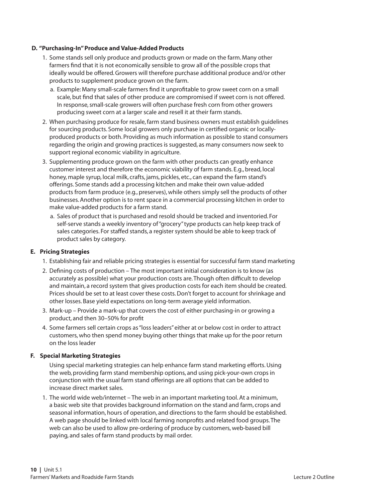#### **D. "Purchasing-In" Produce and Value-Added Products**

- 1. Some stands sell only produce and products grown or made on the farm. Many other farmers find that it is not economically sensible to grow all of the possible crops that ideally would be offered. Growers will therefore purchase additional produce and/or other products to supplement produce grown on the farm.
	- a. Example: Many small-scale farmers find it unprofitable to grow sweet corn on a small scale, but find that sales of other produce are compromised if sweet corn is not offered. In response, small-scale growers will often purchase fresh corn from other growers producing sweet corn at a larger scale and resell it at their farm stands.
- 2. When purchasing produce for resale, farm stand business owners must establish guidelines for sourcing products. Some local growers only purchase in certified organic or locallyproduced products or both. Providing as much information as possible to stand consumers regarding the origin and growing practices is suggested, as many consumers now seek to support regional economic viability in agriculture.
- 3. Supplementing produce grown on the farm with other products can greatly enhance customer interest and therefore the economic viability of farm stands. E.g., bread, local honey, maple syrup, local milk, crafts, jams, pickles, etc., can expand the farm stand's offerings. Some stands add a processing kitchen and make their own value-added products from farm produce (e.g., preserves), while others simply sell the products of other businesses. Another option is to rent space in a commercial processing kitchen in order to make value-added products for a farm stand.
	- a. Sales of product that is purchased and resold should be tracked and inventoried. For self-serve stands a weekly inventory of "grocery" type products can help keep track of sales categories. For staffed stands, a register system should be able to keep track of product sales by category.

#### **E. Pricing Strategies**

- 1. Establishing fair and reliable pricing strategies is essential for successful farm stand marketing
- 2. Defining costs of production The most important initial consideration is to know (as accurately as possible) what your production costs are. Though often difficult to develop and maintain, a record system that gives production costs for each item should be created. Prices should be set to at least cover these costs. Don't forget to account for shrinkage and other losses. Base yield expectations on long-term average yield information.
- 3. Mark-up Provide a mark-up that covers the cost of either purchasing-in or growing a product, and then 30–50% for profit
- 4. Some farmers sell certain crops as "loss leaders" either at or below cost in order to attract customers, who then spend money buying other things that make up for the poor return on the loss leader

#### **F. Special Marketing Strategies**

 Using special marketing strategies can help enhance farm stand marketing efforts. Using the web, providing farm stand membership options, and using pick-your-own crops in conjunction with the usual farm stand offerings are all options that can be added to increase direct market sales.

1. The world wide web/internet – The web in an important marketing tool. At a minimum, a basic web site that provides background information on the stand and farm, crops and seasonal information, hours of operation, and directions to the farm should be established. A web page should be linked with local farming nonprofits and related food groups. The web can also be used to allow pre-ordering of produce by customers, web-based bill paying, and sales of farm stand products by mail order.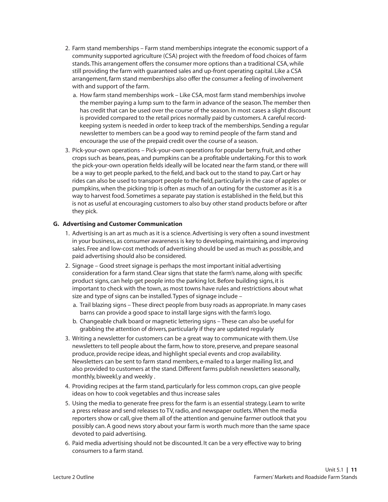- 2. Farm stand memberships Farm stand memberships integrate the economic support of a community supported agriculture (CSA) project with the freedom of food choices of farm stands. This arrangement offers the consumer more options than a traditional CSA, while still providing the farm with guaranteed sales and up-front operating capital. Like a CSA arrangement, farm stand memberships also offer the consumer a feeling of involvement with and support of the farm.
	- a. How farm stand memberships work Like CSA, most farm stand memberships involve the member paying a lump sum to the farm in advance of the season. The member then has credit that can be used over the course of the season. In most cases a slight discount is provided compared to the retail prices normally paid by customers. A careful recordkeeping system is needed in order to keep track of the memberships. Sending a regular newsletter to members can be a good way to remind people of the farm stand and encourage the use of the prepaid credit over the course of a season.
- 3. Pick-your-own operations Pick-your-own operations for popular berry, fruit, and other crops such as beans, peas, and pumpkins can be a profitable undertaking. For this to work the pick-your-own operation fields ideally will be located near the farm stand, or there will be a way to get people parked, to the field, and back out to the stand to pay. Cart or hay rides can also be used to transport people to the field, particularly in the case of apples or pumpkins, when the picking trip is often as much of an outing for the customer as it is a way to harvest food. Sometimes a separate pay station is established in the field, but this is not as useful at encouraging customers to also buy other stand products before or after they pick.

#### **G. Advertising and Customer Communication**

- 1. Advertising is an art as much as it is a science. Advertising is very often a sound investment in your business, as consumer awareness is key to developing, maintaining, and improving sales. Free and low-cost methods of advertising should be used as much as possible, and paid advertising should also be considered.
- 2. Signage Good street signage is perhaps the most important initial advertising consideration for a farm stand. Clear signs that state the farm's name, along with specific product signs, can help get people into the parking lot. Before building signs, it is important to check with the town, as most towns have rules and restrictions about what size and type of signs can be installed. Types of signage include –
	- a. Trail blazing signs These direct people from busy roads as appropriate. In many cases barns can provide a good space to install large signs with the farm's logo.
	- b. Changeable chalk board or magnetic lettering signs These can also be useful for grabbing the attention of drivers, particularly if they are updated regularly
- 3. Writing a newsletter for customers can be a great way to communicate with them. Use newsletters to tell people about the farm, how to store, preserve, and prepare seasonal produce, provide recipe ideas, and highlight special events and crop availability. Newsletters can be sent to farm stand members, e-mailed to a larger mailing list, and also provided to customers at the stand. Different farms publish newsletters seasonally, monthly, biweekl,y and weekly .
- 4. Providing recipes at the farm stand, particularly for less common crops, can give people ideas on how to cook vegetables and thus increase sales
- 5. Using the media to generate free press for the farm is an essential strategy. Learn to write a press release and send releases to TV, radio, and newspaper outlets. When the media reporters show or call, give them all of the attention and genuine farmer outlook that you possibly can. A good news story about your farm is worth much more than the same space devoted to paid advertising.
- 6. Paid media advertising should not be discounted. It can be a very effective way to bring consumers to a farm stand.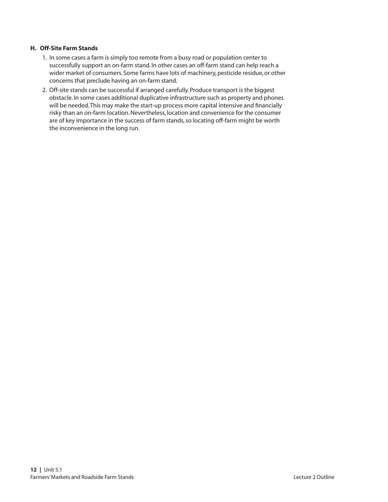#### **H. Off-Site Farm Stands**

- 1. In some cases a farm is simply too remote from a busy road or population center to successfully support an on-farm stand. In other cases an off-farm stand can help reach a wider market of consumers. Some farms have lots of machinery, pesticide residue, or other concerns that preclude having an on-farm stand.
- 2. Off-site stands can be successful if arranged carefully. Produce transport is the biggest obstacle. In some cases additional duplicative infrastructure such as property and phones will be needed. This may make the start-up process more capital intensive and financially risky than an on-farm location. Nevertheless, location and convenience for the consumer are of key importance in the success of farm stands, so locating off-farm might be worth the inconvenience in the long run.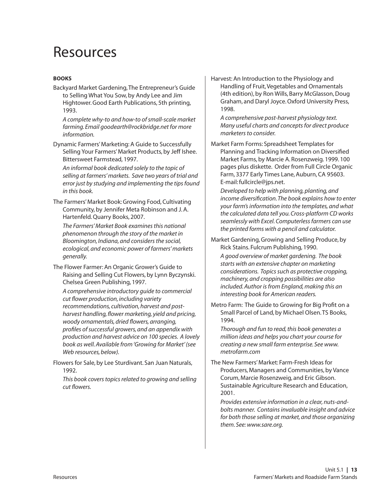## Resources

#### **Books**

Backyard Market Gardening, The Entrepreneur's Guide to Selling What You Sow, by Andy Lee and Jim Hightower. Good Earth Publications, 5th printing, 1993.

*A complete why-to and how-to of small-scale market farming. Email goodearth@rockbridge.net for more information.*

Dynamic Farmers' Marketing: A Guide to Successfully Selling Your Farmers' Market Products, by Jeff Ishee. Bittersweet Farmstead, 1997.

*An informal book dedicated solely to the topic of selling at farmers' markets. Save two years of trial and error just by studying and implementing the tips found in this book.*

The Farmers' Market Book: Growing Food, Cultivating Community, by Jennifer Meta Robinson and J. A. Hartenfeld. Quarry Books, 2007.

*The Farmers' Market Book examines this national phenomenon through the story of the market in Bloomington, Indiana, and considers the social, ecological, and economic power of farmers' markets generally.* 

The Flower Farmer: An Organic Grower's Guide to Raising and Selling Cut Flowers, by Lynn Byczynski. Chelsea Green Publishing, 1997.

*A comprehensive introductory guide to commercial cut flower production, including variety recommendations, cultivation, harvest and postharvest handling, flower marketing, yield and pricing, woody ornamentals, dried flowers, arranging, profiles of successful growers, and an appendix with production and harvest advice on 100 species. A lovely book as well. Available from 'Growing for Market' (see Web resources, below).*

Flowers for Sale, by Lee Sturdivant. San Juan Naturals, 1992.

*This book covers topics related to growing and selling cut flowers.*

Harvest: An Introduction to the Physiology and Handling of Fruit, Vegetables and Ornamentals (4th edition), by Ron Wills, Barry McGlasson, Doug Graham, and Daryl Joyce. Oxford University Press, 1998.

*A comprehensive post-harvest physiology text. Many useful charts and concepts for direct produce marketers to consider.*

Market Farm Forms: Spreadsheet Templates for Planning and Tracking Information on Diversified Market Farms, by Marcie A. Rosenzweig. 1999. 100 pages plus diskette. Order from Full Circle Organic Farm, 3377 Early Times Lane, Auburn, CA 95603. E-mail: fullcircle@jps.net.

*Developed to help with planning, planting, and income diversification. The book explains how to enter your farm's information into the templates, and what the calculated data tell you. Cross-platform CD works seamlessly with Excel. Computerless farmers can use the printed forms with a pencil and calculator.*

Market Gardening, Growing and Selling Produce, by Rick Stains. Fulcrum Publishing, 1990.

*A good overview of market gardening. The book starts with an extensive chapter on marketing considerations. Topics such as protective cropping, machinery, and cropping possibilities are also included. Author is from England, making this an interesting book for American readers.*

Metro Farm: The Guide to Growing for Big Profit on a Small Parcel of Land, by Michael Olsen. TS Books, 1994.

*Thorough and fun to read, this book generates a million ideas and helps you chart your course for creating a new small farm enterprise. See www. metrofarm.com*

The New Farmers' Market: Farm-Fresh Ideas for Producers, Managers and Communities, by Vance Corum, Marcie Rosenzweig, and Eric Gibson. Sustainable Agriculture Research and Education, 2001.

*Provides extensive information in a clear, nuts-andbolts manner. Contains invaluable insight and advice for both those selling at market, and those organizing them. See: www.sare.org.*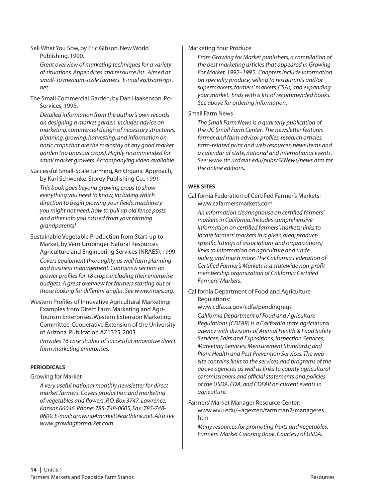#### Sell What You Sow, by Eric Gibson. New World Publishing, 1990.

*Great overview of marketing techniques for a variety of situations. Appendices and resource list. Aimed at small- to medium-scale farmers. E-mail egibson@jps. net.* 

The Small Commercial Garden, by Dan Haakenson. Pc-Services, 1995.

*Detailed information from the author's own records on designing a market garden. Includes advice on marketing, commercial design of necessary structures, planning, growing, harvesting, and information on basic crops that are the mainstay of any good market garden (no unusual crops). Highly recommended for small market growers. Accompanying video available.*

Successful Small-Scale Farming, An Organic Approach, by Karl Schwenke. Storey Publishing Co., 1991. *This book goes beyond growing crops to show everything you need to know, including which direction to begin plowing your fields, machinery you might not need, how to pull up old fence posts, and other info you missed from your farming grandparents!*

Sustainable Vegetable Production from Start-up to Market, by Vern Grubinger. Natural Resources Agriculture and Engineering Services (NRAES), 1999. *Covers equipment thoroughly, as well farm planning and business management. Contains a section on grower profiles for 18 crops, including their enterprise budgets. A great overview for farmers starting out or those looking for different angles. See www.nraes.org.*

Western Profiles of Innovative Agricultural Marketing: Examples from Direct Farm Marketing and Agri-Tourism Enterprises. Western Extension Marketing Committee, Cooperative Extension of the University of Arizona. Publication AZ1325, 2003.

*Provides 16 case studies of successful innovative direct farm marketing enterprises.*

### **Periodicals**

Growing for Market

*A very useful national monthly newsletter for direct market farmers. Covers production and marketing of vegetables and flowers. P.O. Box 3747, Lawrence, Kansas 66046. Phone: 785-748-0605, Fax: 785-748- 0609. E-mail: growing4market@earthlink.net. Also see www.growingformarket.com.*

#### Marketing Your Produce

*From Growing for Market publishers, a compilation of the best marketing articles that appeared in Growing For Market, 1992–1995. Chapters include information on specialty produce, selling to restaurants and/or supermarkets, farmers' markets, CSAs, and expanding your market. Ends with a list of recommended books. See above for ordering information.*

#### Small Farm News

*The Small Farm News is a quarterly publication of the UC Small Farm Center. The newsletter features farmer and farm advisor profiles, research articles, farm-related print and web resources, news items and a calendar of state, national and international events. See: www.sfc.ucdavis.edu/pubs/SFNews/news.htm for the online editions.*

### **Web Sites**

California Federation of Certified Farmer's Markets: www.cafarmersmarkets.com

*An information clearinghouse on certified farmers' markets in California. Includes comprehensive information on certified farmers' markets; links to locate farmers' markets in a given area; productspecific listings of associations and organizations; links to information on agriculture and trade policy, and much more. The California Federation of Certified Farmer's Markets is a statewide non-profit membership organization of California Certified Farmers' Markets.*

California Department of Food and Agriculture Regulations:

www.cdfa.ca.gov/cdfa/pendingregs

*California Department of Food and Agriculture Regulations (CDFAR) is a California state agricultural agency with divisions of Animal Health & Food Safety Services; Fairs and Expositions; Inspection Services; Marketing Services; Measurement Standards; and Plant Health and Pest Prevention Services. The web site contains links to the services and programs of the above agencies as well as links to county agricultural commissioners and official statements and policies of the USDA, FDA, and CDFAR on current events in agriculture.*

Farmers' Market Manager Resource Center: www.wvu.edu/~agexten/farmman2/manageres. htm

*Many resources for promoting fruits and vegetables. Farmers' Market Coloring Book. Courtesy of USDA.*